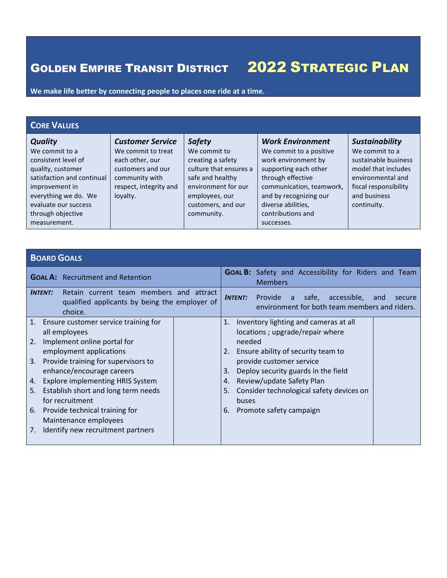## GOLDEN EMPIRE TRANSIT DISTRICT 2022 STRATEGIC PLAN

**We make life better by connecting people to places one ride at a time.** 

| <b>CORE VALUES</b> |  |  |
|--------------------|--|--|
|                    |  |  |

| <b>Quality</b>             | <b>Customer Service</b> | <b>Safety</b>          | <b>Work Environment</b>  | <b>Sustainability</b> |
|----------------------------|-------------------------|------------------------|--------------------------|-----------------------|
| We commit to a             | We commit to treat      | We commit to           | We commit to a positive  | We commit to a        |
| consistent level of        | each other, our         | creating a safety      | work environment by      | sustainable business  |
| quality, customer          | customers and our       | culture that ensures a | supporting each other    | model that includes   |
| satisfaction and continual | community with          | safe and healthy       | through effective        | environmental and     |
| improvement in             | respect, integrity and  | environment for our    | communication, teamwork, | fiscal responsibility |
| everything we do. We       | lovalty.                | employees, our         | and by recognizing our   | and business          |
| evaluate our success       |                         | customers, and our     | diverse abilities,       | continuity.           |
| through objective          |                         | community.             | contributions and        |                       |
| measurement.               |                         |                        | successes.               |                       |

| <b>BOARD GOALS</b>                                                                                                                                                                                                                                                                                                                                                                                                           |                                                                                                                                                                                                                                                                                                                                              |  |  |  |  |
|------------------------------------------------------------------------------------------------------------------------------------------------------------------------------------------------------------------------------------------------------------------------------------------------------------------------------------------------------------------------------------------------------------------------------|----------------------------------------------------------------------------------------------------------------------------------------------------------------------------------------------------------------------------------------------------------------------------------------------------------------------------------------------|--|--|--|--|
| <b>GOAL A:</b> Recruitment and Retention                                                                                                                                                                                                                                                                                                                                                                                     | <b>GOAL B:</b> Safety and Accessibility for Riders and Team<br><b>Members</b>                                                                                                                                                                                                                                                                |  |  |  |  |
| Retain current team members and attract<br><b>INTENT:</b><br>qualified applicants by being the employer of<br>choice.                                                                                                                                                                                                                                                                                                        | safe,<br>accessible,<br><b>INTENT:</b><br>Provide<br>and<br>$\mathsf{a}$<br>secure<br>environment for both team members and riders.                                                                                                                                                                                                          |  |  |  |  |
| 1. Ensure customer service training for<br>all employees<br>Implement online portal for<br>2.<br>employment applications<br>3. Provide training for supervisors to<br>enhance/encourage careers<br><b>Explore implementing HRIS System</b><br>4.<br>Establish short and long term needs<br>5.<br>for recruitment<br>Provide technical training for<br>6.<br>Maintenance employees<br>Identify new recruitment partners<br>7. | Inventory lighting and cameras at all<br>1.<br>locations; upgrade/repair where<br>needed<br>Ensure ability of security team to<br>2.<br>provide customer service<br>Deploy security guards in the field<br>3.<br>Review/update Safety Plan<br>4.<br>Consider technological safety devices on<br>5.<br>buses<br>Promote safety campaign<br>6. |  |  |  |  |